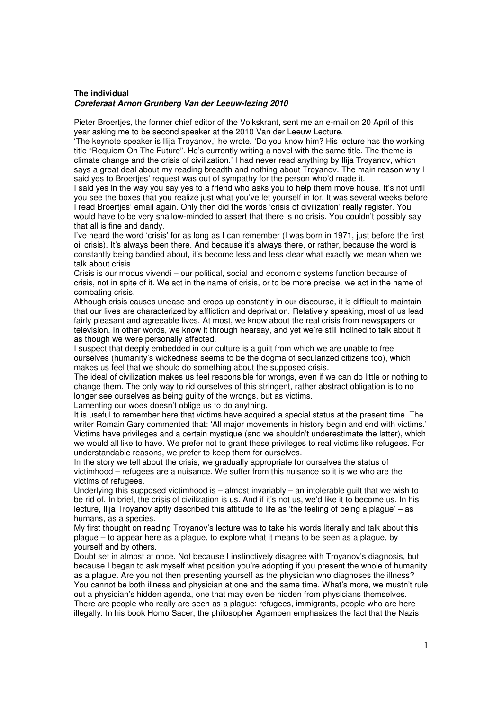## **The individual Coreferaat Arnon Grunberg Van der Leeuw-lezing 2010**

Pieter Broertjes, the former chief editor of the Volkskrant, sent me an e-mail on 20 April of this year asking me to be second speaker at the 2010 Van der Leeuw Lecture.

'The keynote speaker is Ilija Troyanov,' he wrote. 'Do you know him? His lecture has the working title "Requiem On The Future". He's currently writing a novel with the same title. The theme is climate change and the crisis of civilization.' I had never read anything by Ilija Troyanov, which says a great deal about my reading breadth and nothing about Troyanov. The main reason why I said yes to Broertjes' request was out of sympathy for the person who'd made it.

I said yes in the way you say yes to a friend who asks you to help them move house. It's not until you see the boxes that you realize just what you've let yourself in for. It was several weeks before I read Broertjes' email again. Only then did the words 'crisis of civilization' really register. You would have to be very shallow-minded to assert that there is no crisis. You couldn't possibly say that all is fine and dandy.

I've heard the word 'crisis' for as long as I can remember (I was born in 1971, just before the first oil crisis). It's always been there. And because it's always there, or rather, because the word is constantly being bandied about, it's become less and less clear what exactly we mean when we talk about crisis.

Crisis is our modus vivendi – our political, social and economic systems function because of crisis, not in spite of it. We act in the name of crisis, or to be more precise, we act in the name of combating crisis.

Although crisis causes unease and crops up constantly in our discourse, it is difficult to maintain that our lives are characterized by affliction and deprivation. Relatively speaking, most of us lead fairly pleasant and agreeable lives. At most, we know about the real crisis from newspapers or television. In other words, we know it through hearsay, and yet we're still inclined to talk about it as though we were personally affected.

I suspect that deeply embedded in our culture is a guilt from which we are unable to free ourselves (humanity's wickedness seems to be the dogma of secularized citizens too), which makes us feel that we should do something about the supposed crisis.

The ideal of civilization makes us feel responsible for wrongs, even if we can do little or nothing to change them. The only way to rid ourselves of this stringent, rather abstract obligation is to no longer see ourselves as being guilty of the wrongs, but as victims.

Lamenting our woes doesn't oblige us to do anything.

It is useful to remember here that victims have acquired a special status at the present time. The writer Romain Gary commented that: 'All major movements in history begin and end with victims.' Victims have privileges and a certain mystique (and we shouldn't underestimate the latter), which we would all like to have. We prefer not to grant these privileges to real victims like refugees. For understandable reasons, we prefer to keep them for ourselves.

In the story we tell about the crisis, we gradually appropriate for ourselves the status of victimhood – refugees are a nuisance. We suffer from this nuisance so it is we who are the victims of refugees.

Underlying this supposed victimhood is – almost invariably – an intolerable guilt that we wish to be rid of. In brief, the crisis of civilization is us. And if it's not us, we'd like it to become us. In his lecture, Ilija Troyanov aptly described this attitude to life as 'the feeling of being a plague' – as humans, as a species.

My first thought on reading Troyanov's lecture was to take his words literally and talk about this plague – to appear here as a plague, to explore what it means to be seen as a plague, by yourself and by others.

Doubt set in almost at once. Not because I instinctively disagree with Troyanov's diagnosis, but because I began to ask myself what position you're adopting if you present the whole of humanity as a plague. Are you not then presenting yourself as the physician who diagnoses the illness? You cannot be both illness and physician at one and the same time. What's more, we mustn't rule out a physician's hidden agenda, one that may even be hidden from physicians themselves. There are people who really are seen as a plague: refugees, immigrants, people who are here illegally. In his book Homo Sacer, the philosopher Agamben emphasizes the fact that the Nazis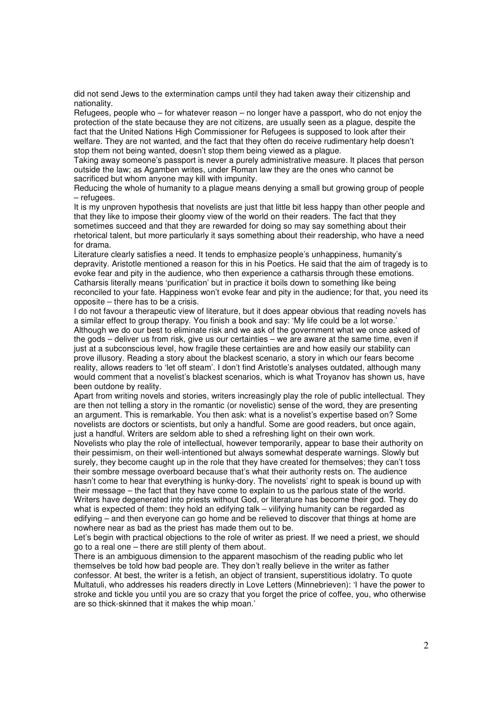did not send Jews to the extermination camps until they had taken away their citizenship and nationality.

Refugees, people who – for whatever reason – no longer have a passport, who do not enjoy the protection of the state because they are not citizens, are usually seen as a plague, despite the fact that the United Nations High Commissioner for Refugees is supposed to look after their welfare. They are not wanted, and the fact that they often do receive rudimentary help doesn't stop them not being wanted, doesn't stop them being viewed as a plague.

Taking away someone's passport is never a purely administrative measure. It places that person outside the law; as Agamben writes, under Roman law they are the ones who cannot be sacrificed but whom anyone may kill with impunity.

Reducing the whole of humanity to a plague means denying a small but growing group of people – refugees.

It is my unproven hypothesis that novelists are just that little bit less happy than other people and that they like to impose their gloomy view of the world on their readers. The fact that they sometimes succeed and that they are rewarded for doing so may say something about their rhetorical talent, but more particularly it says something about their readership, who have a need for drama.

Literature clearly satisfies a need. It tends to emphasize people's unhappiness, humanity's depravity. Aristotle mentioned a reason for this in his Poetics. He said that the aim of tragedy is to evoke fear and pity in the audience, who then experience a catharsis through these emotions. Catharsis literally means 'purification' but in practice it boils down to something like being reconciled to your fate. Happiness won't evoke fear and pity in the audience; for that, you need its opposite – there has to be a crisis.

I do not favour a therapeutic view of literature, but it does appear obvious that reading novels has a similar effect to group therapy. You finish a book and say: 'My life could be a lot worse.' Although we do our best to eliminate risk and we ask of the government what we once asked of

the gods – deliver us from risk, give us our certainties – we are aware at the same time, even if just at a subconscious level, how fragile these certainties are and how easily our stability can prove illusory. Reading a story about the blackest scenario, a story in which our fears become reality, allows readers to 'let off steam'. I don't find Aristotle's analyses outdated, although many would comment that a novelist's blackest scenarios, which is what Troyanov has shown us, have been outdone by reality.

Apart from writing novels and stories, writers increasingly play the role of public intellectual. They are then not telling a story in the romantic (or novelistic) sense of the word, they are presenting an argument. This is remarkable. You then ask: what is a novelist's expertise based on? Some novelists are doctors or scientists, but only a handful. Some are good readers, but once again, just a handful. Writers are seldom able to shed a refreshing light on their own work.

Novelists who play the role of intellectual, however temporarily, appear to base their authority on their pessimism, on their well-intentioned but always somewhat desperate warnings. Slowly but surely, they become caught up in the role that they have created for themselves; they can't toss their sombre message overboard because that's what their authority rests on. The audience hasn't come to hear that everything is hunky-dory. The novelists' right to speak is bound up with their message – the fact that they have come to explain to us the parlous state of the world. Writers have degenerated into priests without God, or literature has become their god. They do what is expected of them: they hold an edifying talk – vilifying humanity can be regarded as edifying – and then everyone can go home and be relieved to discover that things at home are nowhere near as bad as the priest has made them out to be.

Let's begin with practical objections to the role of writer as priest. If we need a priest, we should go to a real one – there are still plenty of them about.

There is an ambiguous dimension to the apparent masochism of the reading public who let themselves be told how bad people are. They don't really believe in the writer as father confessor. At best, the writer is a fetish, an object of transient, superstitious idolatry. To quote Multatuli, who addresses his readers directly in Love Letters (Minnebrieven): 'I have the power to stroke and tickle you until you are so crazy that you forget the price of coffee, you, who otherwise are so thick-skinned that it makes the whip moan.'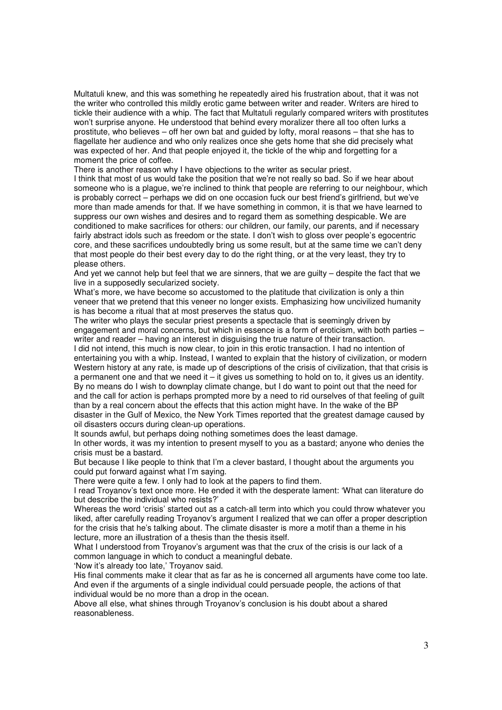Multatuli knew, and this was something he repeatedly aired his frustration about, that it was not the writer who controlled this mildly erotic game between writer and reader. Writers are hired to tickle their audience with a whip. The fact that Multatuli regularly compared writers with prostitutes won't surprise anyone. He understood that behind every moralizer there all too often lurks a prostitute, who believes – off her own bat and guided by lofty, moral reasons – that she has to flagellate her audience and who only realizes once she gets home that she did precisely what was expected of her. And that people enjoyed it, the tickle of the whip and forgetting for a moment the price of coffee.

There is another reason why I have objections to the writer as secular priest.

I think that most of us would take the position that we're not really so bad. So if we hear about someone who is a plague, we're inclined to think that people are referring to our neighbour, which is probably correct – perhaps we did on one occasion fuck our best friend's girlfriend, but we've more than made amends for that. If we have something in common, it is that we have learned to suppress our own wishes and desires and to regard them as something despicable. We are conditioned to make sacrifices for others: our children, our family, our parents, and if necessary fairly abstract idols such as freedom or the state. I don't wish to gloss over people's egocentric core, and these sacrifices undoubtedly bring us some result, but at the same time we can't deny that most people do their best every day to do the right thing, or at the very least, they try to please others.

And yet we cannot help but feel that we are sinners, that we are guilty – despite the fact that we live in a supposedly secularized society.

What's more, we have become so accustomed to the platitude that civilization is only a thin veneer that we pretend that this veneer no longer exists. Emphasizing how uncivilized humanity is has become a ritual that at most preserves the status quo.

The writer who plays the secular priest presents a spectacle that is seemingly driven by engagement and moral concerns, but which in essence is a form of eroticism, with both parties – writer and reader – having an interest in disguising the true nature of their transaction.

I did not intend, this much is now clear, to join in this erotic transaction. I had no intention of entertaining you with a whip. Instead, I wanted to explain that the history of civilization, or modern Western history at any rate, is made up of descriptions of the crisis of civilization, that that crisis is a permanent one and that we need it – it gives us something to hold on to, it gives us an identity. By no means do I wish to downplay climate change, but I do want to point out that the need for and the call for action is perhaps prompted more by a need to rid ourselves of that feeling of guilt than by a real concern about the effects that this action might have. In the wake of the BP disaster in the Gulf of Mexico, the New York Times reported that the greatest damage caused by oil disasters occurs during clean-up operations.

It sounds awful, but perhaps doing nothing sometimes does the least damage.

In other words, it was my intention to present myself to you as a bastard; anyone who denies the crisis must be a bastard.

But because I like people to think that I'm a clever bastard, I thought about the arguments you could put forward against what I'm saying.

There were quite a few. I only had to look at the papers to find them.

I read Troyanov's text once more. He ended it with the desperate lament: 'What can literature do but describe the individual who resists?'

Whereas the word 'crisis' started out as a catch-all term into which you could throw whatever you liked, after carefully reading Troyanov's argument I realized that we can offer a proper description for the crisis that he's talking about. The climate disaster is more a motif than a theme in his lecture, more an illustration of a thesis than the thesis itself.

What I understood from Troyanov's argument was that the crux of the crisis is our lack of a common language in which to conduct a meaningful debate.

'Now it's already too late,' Troyanov said.

His final comments make it clear that as far as he is concerned all arguments have come too late. And even if the arguments of a single individual could persuade people, the actions of that individual would be no more than a drop in the ocean.

Above all else, what shines through Troyanov's conclusion is his doubt about a shared reasonableness.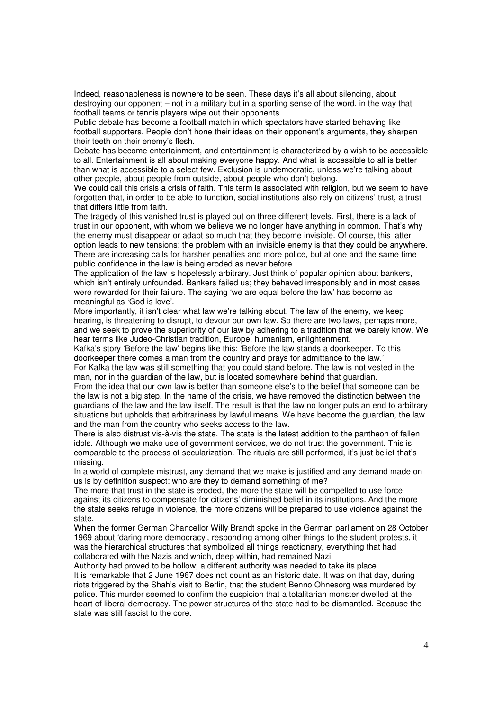Indeed, reasonableness is nowhere to be seen. These days it's all about silencing, about destroying our opponent – not in a military but in a sporting sense of the word, in the way that football teams or tennis players wipe out their opponents.

Public debate has become a football match in which spectators have started behaving like football supporters. People don't hone their ideas on their opponent's arguments, they sharpen their teeth on their enemy's flesh.

Debate has become entertainment, and entertainment is characterized by a wish to be accessible to all. Entertainment is all about making everyone happy. And what is accessible to all is better than what is accessible to a select few. Exclusion is undemocratic, unless we're talking about other people, about people from outside, about people who don't belong.

We could call this crisis a crisis of faith. This term is associated with religion, but we seem to have forgotten that, in order to be able to function, social institutions also rely on citizens' trust, a trust that differs little from faith.

The tragedy of this vanished trust is played out on three different levels. First, there is a lack of trust in our opponent, with whom we believe we no longer have anything in common. That's why the enemy must disappear or adapt so much that they become invisible. Of course, this latter option leads to new tensions: the problem with an invisible enemy is that they could be anywhere. There are increasing calls for harsher penalties and more police, but at one and the same time public confidence in the law is being eroded as never before.

The application of the law is hopelessly arbitrary. Just think of popular opinion about bankers, which isn't entirely unfounded. Bankers failed us; they behaved irresponsibly and in most cases were rewarded for their failure. The saying 'we are equal before the law' has become as meaningful as 'God is love'.

More importantly, it isn't clear what law we're talking about. The law of the enemy, we keep hearing, is threatening to disrupt, to devour our own law. So there are two laws, perhaps more, and we seek to prove the superiority of our law by adhering to a tradition that we barely know. We hear terms like Judeo-Christian tradition, Europe, humanism, enlightenment.

Kafka's story 'Before the law' begins like this: 'Before the law stands a doorkeeper. To this doorkeeper there comes a man from the country and prays for admittance to the law.'

For Kafka the law was still something that you could stand before. The law is not vested in the man, nor in the guardian of the law, but is located somewhere behind that guardian.

From the idea that our own law is better than someone else's to the belief that someone can be the law is not a big step. In the name of the crisis, we have removed the distinction between the guardians of the law and the law itself. The result is that the law no longer puts an end to arbitrary situations but upholds that arbitrariness by lawful means. We have become the guardian, the law and the man from the country who seeks access to the law.

There is also distrust vis-à-vis the state. The state is the latest addition to the pantheon of fallen idols. Although we make use of government services, we do not trust the government. This is comparable to the process of secularization. The rituals are still performed, it's just belief that's missing.

In a world of complete mistrust, any demand that we make is justified and any demand made on us is by definition suspect: who are they to demand something of me?

The more that trust in the state is eroded, the more the state will be compelled to use force against its citizens to compensate for citizens' diminished belief in its institutions. And the more the state seeks refuge in violence, the more citizens will be prepared to use violence against the state.

When the former German Chancellor Willy Brandt spoke in the German parliament on 28 October 1969 about 'daring more democracy', responding among other things to the student protests, it was the hierarchical structures that symbolized all things reactionary, everything that had collaborated with the Nazis and which, deep within, had remained Nazi.

Authority had proved to be hollow; a different authority was needed to take its place.

It is remarkable that 2 June 1967 does not count as an historic date. It was on that day, during riots triggered by the Shah's visit to Berlin, that the student Benno Ohnesorg was murdered by police. This murder seemed to confirm the suspicion that a totalitarian monster dwelled at the heart of liberal democracy. The power structures of the state had to be dismantled. Because the state was still fascist to the core.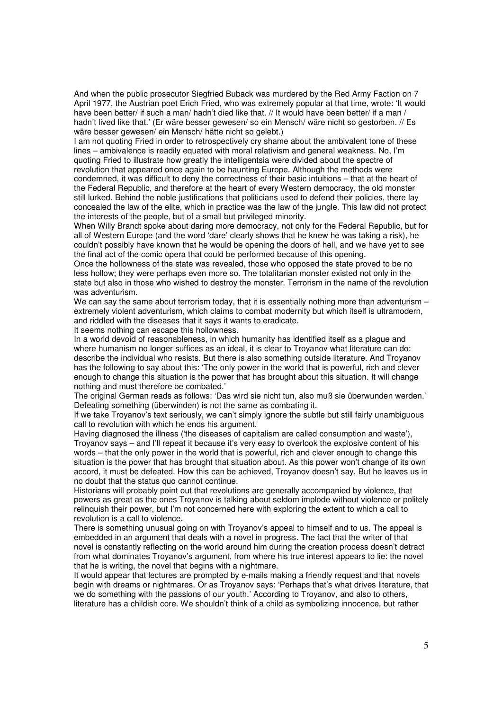And when the public prosecutor Siegfried Buback was murdered by the Red Army Faction on 7 April 1977, the Austrian poet Erich Fried, who was extremely popular at that time, wrote: 'It would have been better/ if such a man/ hadn't died like that. // It would have been better/ if a man / hadn't lived like that.' (Er wäre besser gewesen/ so ein Mensch/ wäre nicht so gestorben. // Es wäre besser gewesen/ ein Mensch/ hätte nicht so gelebt.)

I am not quoting Fried in order to retrospectively cry shame about the ambivalent tone of these lines – ambivalence is readily equated with moral relativism and general weakness. No, I'm quoting Fried to illustrate how greatly the intelligentsia were divided about the spectre of revolution that appeared once again to be haunting Europe. Although the methods were condemned, it was difficult to deny the correctness of their basic intuitions – that at the heart of the Federal Republic, and therefore at the heart of every Western democracy, the old monster still lurked. Behind the noble justifications that politicians used to defend their policies, there lay concealed the law of the elite, which in practice was the law of the jungle. This law did not protect the interests of the people, but of a small but privileged minority.

When Willy Brandt spoke about daring more democracy, not only for the Federal Republic, but for all of Western Europe (and the word 'dare' clearly shows that he knew he was taking a risk), he couldn't possibly have known that he would be opening the doors of hell, and we have yet to see the final act of the comic opera that could be performed because of this opening.

Once the hollowness of the state was revealed, those who opposed the state proved to be no less hollow; they were perhaps even more so. The totalitarian monster existed not only in the state but also in those who wished to destroy the monster. Terrorism in the name of the revolution was adventurism.

We can say the same about terrorism today, that it is essentially nothing more than adventurism extremely violent adventurism, which claims to combat modernity but which itself is ultramodern, and riddled with the diseases that it says it wants to eradicate.

It seems nothing can escape this hollowness.

In a world devoid of reasonableness, in which humanity has identified itself as a plague and where humanism no longer suffices as an ideal, it is clear to Troyanov what literature can do: describe the individual who resists. But there is also something outside literature. And Troyanov has the following to say about this: 'The only power in the world that is powerful, rich and clever enough to change this situation is the power that has brought about this situation. It will change nothing and must therefore be combated.'

The original German reads as follows: 'Das wird sie nicht tun, also muß sie überwunden werden.' Defeating something (überwinden) is not the same as combating it.

If we take Troyanov's text seriously, we can't simply ignore the subtle but still fairly unambiguous call to revolution with which he ends his argument.

Having diagnosed the illness ('the diseases of capitalism are called consumption and waste'), Troyanov says – and I'll repeat it because it's very easy to overlook the explosive content of his words – that the only power in the world that is powerful, rich and clever enough to change this situation is the power that has brought that situation about. As this power won't change of its own accord, it must be defeated. How this can be achieved, Troyanov doesn't say. But he leaves us in no doubt that the status quo cannot continue.

Historians will probably point out that revolutions are generally accompanied by violence, that powers as great as the ones Troyanov is talking about seldom implode without violence or politely relinquish their power, but I'm not concerned here with exploring the extent to which a call to revolution is a call to violence.

There is something unusual going on with Troyanov's appeal to himself and to us. The appeal is embedded in an argument that deals with a novel in progress. The fact that the writer of that novel is constantly reflecting on the world around him during the creation process doesn't detract from what dominates Troyanov's argument, from where his true interest appears to lie: the novel that he is writing, the novel that begins with a nightmare.

It would appear that lectures are prompted by e-mails making a friendly request and that novels begin with dreams or nightmares. Or as Troyanov says: 'Perhaps that's what drives literature, that we do something with the passions of our youth.' According to Troyanov, and also to others, literature has a childish core. We shouldn't think of a child as symbolizing innocence, but rather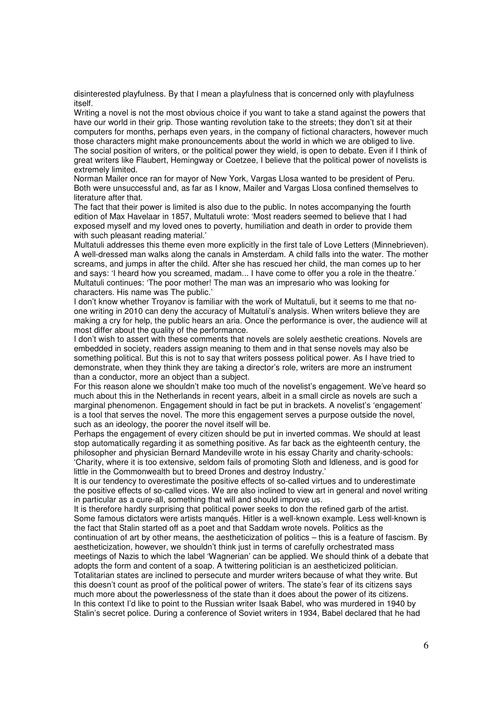disinterested playfulness. By that I mean a playfulness that is concerned only with playfulness itself.

Writing a novel is not the most obvious choice if you want to take a stand against the powers that have our world in their grip. Those wanting revolution take to the streets; they don't sit at their computers for months, perhaps even years, in the company of fictional characters, however much those characters might make pronouncements about the world in which we are obliged to live. The social position of writers, or the political power they wield, is open to debate. Even if I think of great writers like Flaubert, Hemingway or Coetzee, I believe that the political power of novelists is extremely limited.

Norman Mailer once ran for mayor of New York, Vargas Llosa wanted to be president of Peru. Both were unsuccessful and, as far as I know, Mailer and Vargas Llosa confined themselves to literature after that.

The fact that their power is limited is also due to the public. In notes accompanying the fourth edition of Max Havelaar in 1857, Multatuli wrote: 'Most readers seemed to believe that I had exposed myself and my loved ones to poverty, humiliation and death in order to provide them with such pleasant reading material.'

Multatuli addresses this theme even more explicitly in the first tale of Love Letters (Minnebrieven). A well-dressed man walks along the canals in Amsterdam. A child falls into the water. The mother screams, and jumps in after the child. After she has rescued her child, the man comes up to her and says: 'I heard how you screamed, madam... I have come to offer you a role in the theatre.' Multatuli continues: 'The poor mother! The man was an impresario who was looking for characters. His name was The public.'

I don't know whether Troyanov is familiar with the work of Multatuli, but it seems to me that noone writing in 2010 can deny the accuracy of Multatuli's analysis. When writers believe they are making a cry for help, the public hears an aria. Once the performance is over, the audience will at most differ about the quality of the performance.

I don't wish to assert with these comments that novels are solely aesthetic creations. Novels are embedded in society, readers assign meaning to them and in that sense novels may also be something political. But this is not to say that writers possess political power. As I have tried to demonstrate, when they think they are taking a director's role, writers are more an instrument than a conductor, more an object than a subject.

For this reason alone we shouldn't make too much of the novelist's engagement. We've heard so much about this in the Netherlands in recent years, albeit in a small circle as novels are such a marginal phenomenon. Engagement should in fact be put in brackets. A novelist's 'engagement' is a tool that serves the novel. The more this engagement serves a purpose outside the novel, such as an ideology, the poorer the novel itself will be.

Perhaps the engagement of every citizen should be put in inverted commas. We should at least stop automatically regarding it as something positive. As far back as the eighteenth century, the philosopher and physician Bernard Mandeville wrote in his essay Charity and charity-schools: 'Charity, where it is too extensive, seldom fails of promoting Sloth and Idleness, and is good for little in the Commonwealth but to breed Drones and destroy Industry.'

It is our tendency to overestimate the positive effects of so-called virtues and to underestimate the positive effects of so-called vices. We are also inclined to view art in general and novel writing in particular as a cure-all, something that will and should improve us.

It is therefore hardly surprising that political power seeks to don the refined garb of the artist. Some famous dictators were artists manqués. Hitler is a well-known example. Less well-known is the fact that Stalin started off as a poet and that Saddam wrote novels. Politics as the continuation of art by other means, the aestheticization of politics – this is a feature of fascism. By

aestheticization, however, we shouldn't think just in terms of carefully orchestrated mass meetings of Nazis to which the label 'Wagnerian' can be applied. We should think of a debate that adopts the form and content of a soap. A twittering politician is an aestheticized politician.

Totalitarian states are inclined to persecute and murder writers because of what they write. But this doesn't count as proof of the political power of writers. The state's fear of its citizens says much more about the powerlessness of the state than it does about the power of its citizens. In this context I'd like to point to the Russian writer Isaak Babel, who was murdered in 1940 by Stalin's secret police. During a conference of Soviet writers in 1934, Babel declared that he had